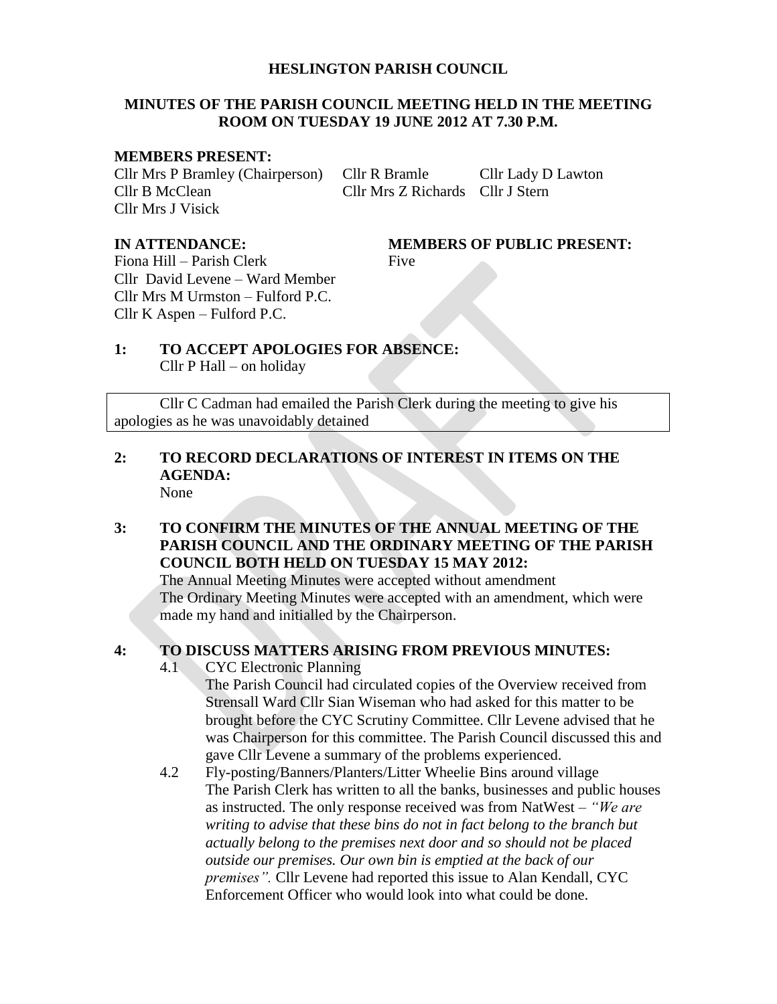#### **HESLINGTON PARISH COUNCIL**

#### **MINUTES OF THE PARISH COUNCIL MEETING HELD IN THE MEETING ROOM ON TUESDAY 19 JUNE 2012 AT 7.30 P.M.**

#### **MEMBERS PRESENT:**

Cllr Mrs P Bramley (Chairperson) Cllr R Bramle Cllr Lady D Lawton Cllr B McClean Cllr Mrs Z Richards Cllr J Stern Cllr Mrs J Visick

**IN ATTENDANCE: MEMBERS OF PUBLIC PRESENT:**

Fiona Hill – Parish Clerk Five Cllr David Levene – Ward Member Cllr Mrs M Urmston – Fulford P.C. Cllr K Aspen – Fulford P.C.

## **1: TO ACCEPT APOLOGIES FOR ABSENCE:** Cllr P Hall – on holiday

Cllr C Cadman had emailed the Parish Clerk during the meeting to give his apologies as he was unavoidably detained

#### **2: TO RECORD DECLARATIONS OF INTEREST IN ITEMS ON THE AGENDA:** None

#### **3: TO CONFIRM THE MINUTES OF THE ANNUAL MEETING OF THE PARISH COUNCIL AND THE ORDINARY MEETING OF THE PARISH COUNCIL BOTH HELD ON TUESDAY 15 MAY 2012:**

The Annual Meeting Minutes were accepted without amendment The Ordinary Meeting Minutes were accepted with an amendment, which were made my hand and initialled by the Chairperson.

#### **4: TO DISCUSS MATTERS ARISING FROM PREVIOUS MINUTES:**

4.1 CYC Electronic Planning

The Parish Council had circulated copies of the Overview received from Strensall Ward Cllr Sian Wiseman who had asked for this matter to be brought before the CYC Scrutiny Committee. Cllr Levene advised that he was Chairperson for this committee. The Parish Council discussed this and gave Cllr Levene a summary of the problems experienced.

4.2 Fly-posting/Banners/Planters/Litter Wheelie Bins around village The Parish Clerk has written to all the banks, businesses and public houses as instructed. The only response received was from NatWest – *"We are writing to advise that these bins do not in fact belong to the branch but actually belong to the premises next door and so should not be placed outside our premises. Our own bin is emptied at the back of our premises".* Cllr Levene had reported this issue to Alan Kendall, CYC Enforcement Officer who would look into what could be done.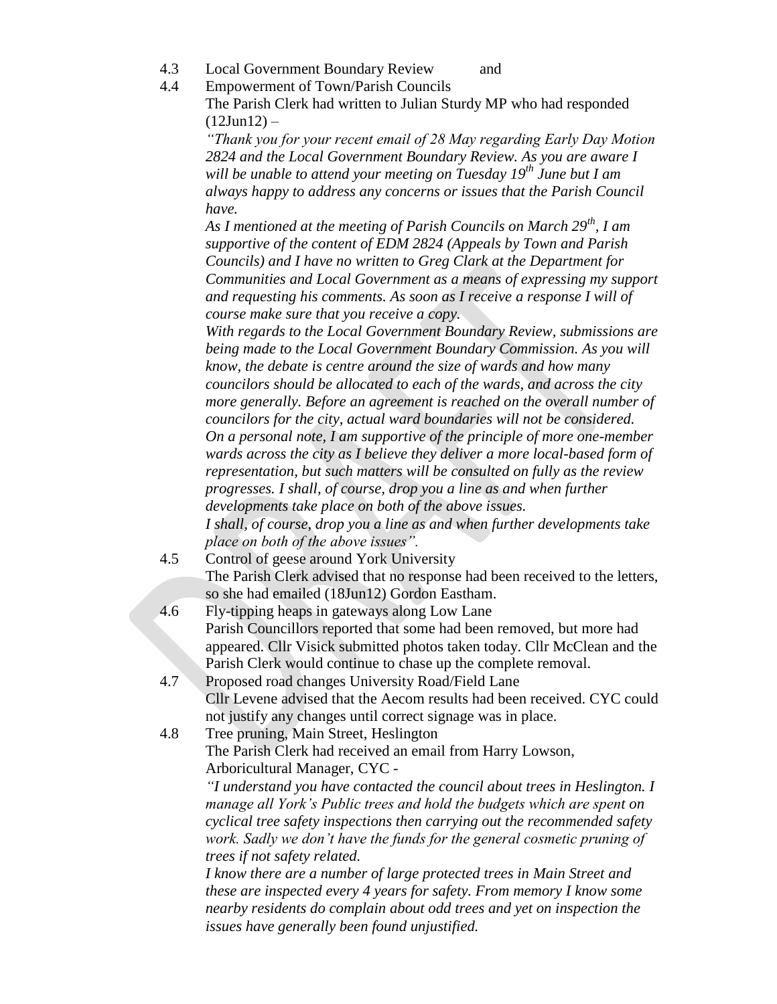- 4.3 Local Government Boundary Review and
- 4.4 Empowerment of Town/Parish Councils

The Parish Clerk had written to Julian Sturdy MP who had responded  $(12$ Jun $12$ ) –

*"Thank you for your recent email of 28 May regarding Early Day Motion 2824 and the Local Government Boundary Review. As you are aware I will be unable to attend your meeting on Tuesday 19th June but I am always happy to address any concerns or issues that the Parish Council have.*

*As I mentioned at the meeting of Parish Councils on March 29th, I am supportive of the content of EDM 2824 (Appeals by Town and Parish Councils) and I have no written to Greg Clark at the Department for Communities and Local Government as a means of expressing my support and requesting his comments. As soon as I receive a response I will of course make sure that you receive a copy.*

*With regards to the Local Government Boundary Review, submissions are being made to the Local Government Boundary Commission. As you will know, the debate is centre around the size of wards and how many councilors should be allocated to each of the wards, and across the city more generally. Before an agreement is reached on the overall number of councilors for the city, actual ward boundaries will not be considered. On a personal note, I am supportive of the principle of more one-member wards across the city as I believe they deliver a more local-based form of representation, but such matters will be consulted on fully as the review progresses. I shall, of course, drop you a line as and when further developments take place on both of the above issues. I shall, of course, drop you a line as and when further developments take place on both of the above issues".*

- 4.5 Control of geese around York University The Parish Clerk advised that no response had been received to the letters, so she had emailed (18Jun12) Gordon Eastham.
- 4.6 Fly-tipping heaps in gateways along Low Lane Parish Councillors reported that some had been removed, but more had appeared. Cllr Visick submitted photos taken today. Cllr McClean and the Parish Clerk would continue to chase up the complete removal.
- 4.7 Proposed road changes University Road/Field Lane Cllr Levene advised that the Aecom results had been received. CYC could not justify any changes until correct signage was in place.
- 4.8 Tree pruning, Main Street, Heslington The Parish Clerk had received an email from Harry Lowson, Arboricultural Manager, CYC -

*"I understand you have contacted the council about trees in Heslington. I manage all York's Public trees and hold the budgets which are spent on cyclical tree safety inspections then carrying out the recommended safety work. Sadly we don't have the funds for the general cosmetic pruning of trees if not safety related.*

*I know there are a number of large protected trees in Main Street and these are inspected every 4 years for safety. From memory I know some nearby residents do complain about odd trees and yet on inspection the issues have generally been found unjustified.*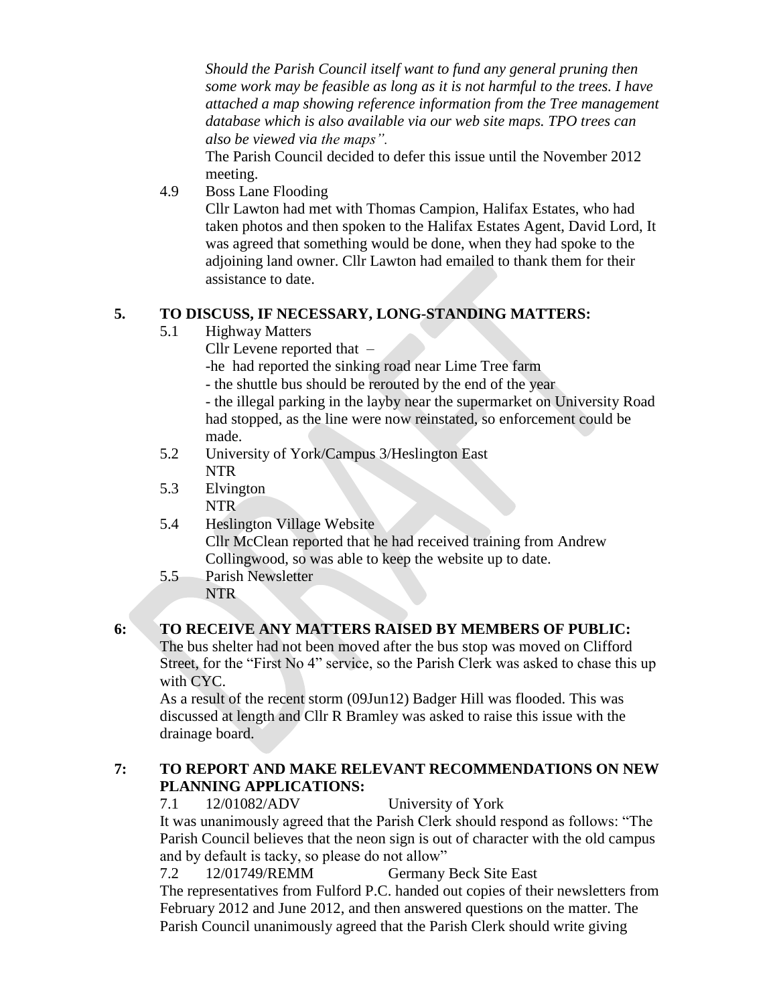*Should the Parish Council itself want to fund any general pruning then some work may be feasible as long as it is not harmful to the trees. I have attached a map showing reference information from the Tree management database which is also available via our web site maps. TPO trees can also be viewed via the maps".*

The Parish Council decided to defer this issue until the November 2012 meeting.

4.9 Boss Lane Flooding

Cllr Lawton had met with Thomas Campion, Halifax Estates, who had taken photos and then spoken to the Halifax Estates Agent, David Lord, It was agreed that something would be done, when they had spoke to the adjoining land owner. Cllr Lawton had emailed to thank them for their assistance to date.

### **5. TO DISCUSS, IF NECESSARY, LONG-STANDING MATTERS:**

- 5.1 Highway Matters
	- Cllr Levene reported that –

-he had reported the sinking road near Lime Tree farm

- the shuttle bus should be rerouted by the end of the year

- the illegal parking in the layby near the supermarket on University Road had stopped, as the line were now reinstated, so enforcement could be made.

- 5.2 University of York/Campus 3/Heslington East NTR
- 5.3 Elvington NTR
- 5.4 Heslington Village Website Cllr McClean reported that he had received training from Andrew Collingwood, so was able to keep the website up to date.
- 5.5 Parish Newsletter NTR

## **6: TO RECEIVE ANY MATTERS RAISED BY MEMBERS OF PUBLIC:**

The bus shelter had not been moved after the bus stop was moved on Clifford Street, for the "First No 4" service, so the Parish Clerk was asked to chase this up with CYC.

As a result of the recent storm (09Jun12) Badger Hill was flooded. This was discussed at length and Cllr R Bramley was asked to raise this issue with the drainage board.

#### **7: TO REPORT AND MAKE RELEVANT RECOMMENDATIONS ON NEW PLANNING APPLICATIONS:**

7.1 12/01082/ADV University of York

It was unanimously agreed that the Parish Clerk should respond as follows: "The Parish Council believes that the neon sign is out of character with the old campus and by default is tacky, so please do not allow"

7.2 12/01749/REMM Germany Beck Site East

The representatives from Fulford P.C. handed out copies of their newsletters from February 2012 and June 2012, and then answered questions on the matter. The Parish Council unanimously agreed that the Parish Clerk should write giving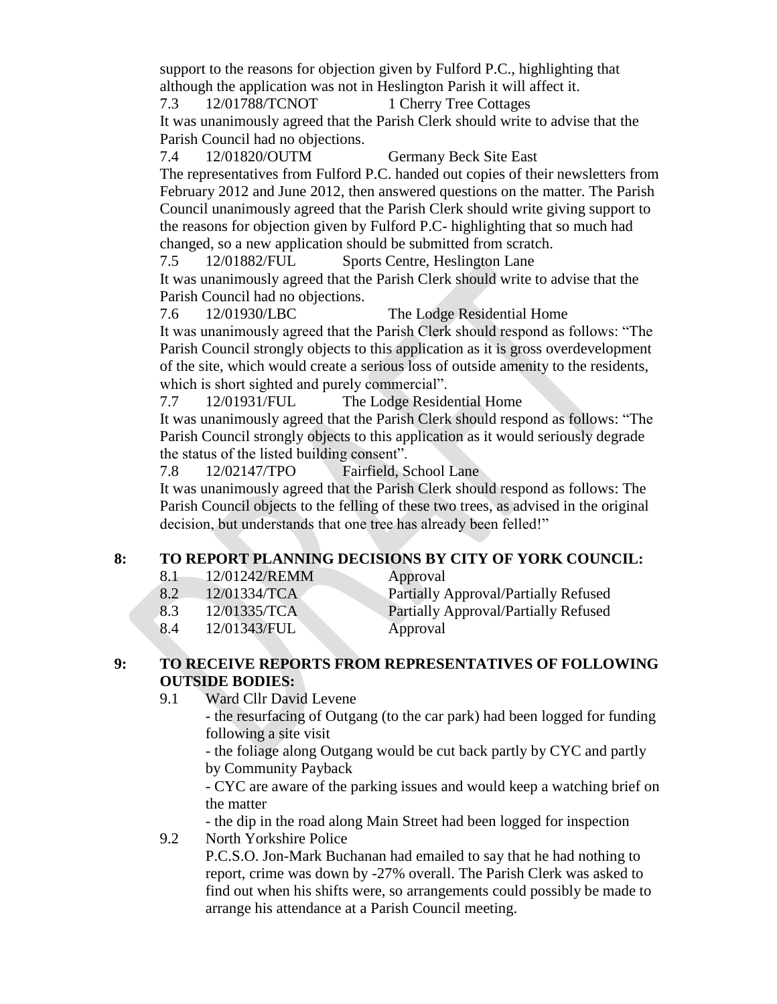support to the reasons for objection given by Fulford P.C., highlighting that although the application was not in Heslington Parish it will affect it.

7.3 12/01788/TCNOT 1 Cherry Tree Cottages

It was unanimously agreed that the Parish Clerk should write to advise that the Parish Council had no objections.

7.4 12/01820/OUTM Germany Beck Site East

The representatives from Fulford P.C. handed out copies of their newsletters from February 2012 and June 2012, then answered questions on the matter. The Parish Council unanimously agreed that the Parish Clerk should write giving support to the reasons for objection given by Fulford P.C- highlighting that so much had changed, so a new application should be submitted from scratch.

7.5 12/01882/FUL Sports Centre, Heslington Lane

It was unanimously agreed that the Parish Clerk should write to advise that the Parish Council had no objections.

7.6 12/01930/LBC The Lodge Residential Home It was unanimously agreed that the Parish Clerk should respond as follows: "The Parish Council strongly objects to this application as it is gross overdevelopment of the site, which would create a serious loss of outside amenity to the residents, which is short sighted and purely commercial".

7.7 12/01931/FUL The Lodge Residential Home It was unanimously agreed that the Parish Clerk should respond as follows: "The Parish Council strongly objects to this application as it would seriously degrade the status of the listed building consent".

7.8 12/02147/TPO Fairfield, School Lane

It was unanimously agreed that the Parish Clerk should respond as follows: The Parish Council objects to the felling of these two trees, as advised in the original decision, but understands that one tree has already been felled!"

# **8: TO REPORT PLANNING DECISIONS BY CITY OF YORK COUNCIL:**

- 8.1 12/01242/REMM Approval
- 8.2 12/01334/TCA Partially Approval/Partially Refused 8.3 12/01335/TCA Partially Approval/Partially Refused 8.4 12/01343/FUL Approval

## **9: TO RECEIVE REPORTS FROM REPRESENTATIVES OF FOLLOWING OUTSIDE BODIES:**

9.1 Ward Cllr David Levene

- the resurfacing of Outgang (to the car park) had been logged for funding following a site visit

- the foliage along Outgang would be cut back partly by CYC and partly by Community Payback

- CYC are aware of the parking issues and would keep a watching brief on the matter

- the dip in the road along Main Street had been logged for inspection 9.2 North Yorkshire Police

P.C.S.O. Jon-Mark Buchanan had emailed to say that he had nothing to report, crime was down by -27% overall. The Parish Clerk was asked to find out when his shifts were, so arrangements could possibly be made to arrange his attendance at a Parish Council meeting.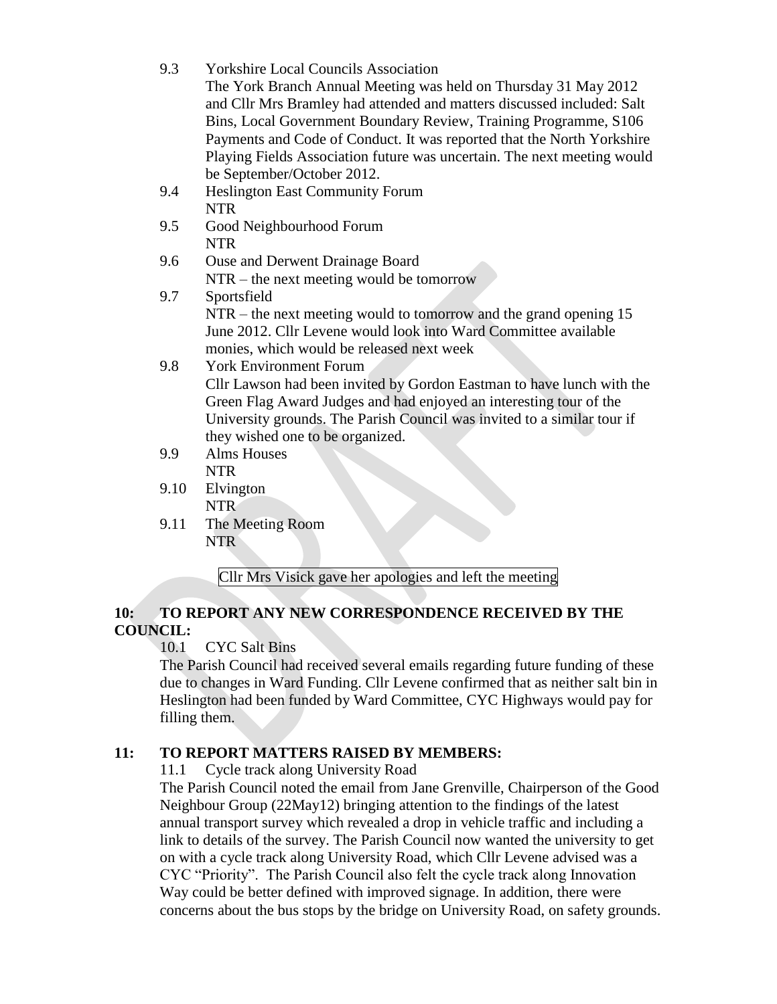| 9.3  | <b>Yorkshire Local Councils Association</b><br>The York Branch Annual Meeting was held on Thursday 31 May 2012<br>and Cllr Mrs Bramley had attended and matters discussed included: Salt<br>Bins, Local Government Boundary Review, Training Programme, S106<br>Payments and Code of Conduct. It was reported that the North Yorkshire<br>Playing Fields Association future was uncertain. The next meeting would |
|------|-------------------------------------------------------------------------------------------------------------------------------------------------------------------------------------------------------------------------------------------------------------------------------------------------------------------------------------------------------------------------------------------------------------------|
| 9.4  | be September/October 2012.<br><b>Heslington East Community Forum</b>                                                                                                                                                                                                                                                                                                                                              |
|      | <b>NTR</b>                                                                                                                                                                                                                                                                                                                                                                                                        |
| 9.5  | Good Neighbourhood Forum                                                                                                                                                                                                                                                                                                                                                                                          |
|      | <b>NTR</b>                                                                                                                                                                                                                                                                                                                                                                                                        |
| 9.6  | Ouse and Derwent Drainage Board                                                                                                                                                                                                                                                                                                                                                                                   |
|      | $NTR$ – the next meeting would be tomorrow                                                                                                                                                                                                                                                                                                                                                                        |
| 9.7  | Sportsfield                                                                                                                                                                                                                                                                                                                                                                                                       |
|      | NTR – the next meeting would to tomorrow and the grand opening 15<br>June 2012. Cllr Levene would look into Ward Committee available<br>monies, which would be released next week                                                                                                                                                                                                                                 |
| 9.8  | <b>York Environment Forum</b>                                                                                                                                                                                                                                                                                                                                                                                     |
|      | Cllr Lawson had been invited by Gordon Eastman to have lunch with the                                                                                                                                                                                                                                                                                                                                             |
|      | Green Flag Award Judges and had enjoyed an interesting tour of the                                                                                                                                                                                                                                                                                                                                                |
|      | University grounds. The Parish Council was invited to a similar tour if                                                                                                                                                                                                                                                                                                                                           |
|      | they wished one to be organized.                                                                                                                                                                                                                                                                                                                                                                                  |
| 9.9  | <b>Alms Houses</b>                                                                                                                                                                                                                                                                                                                                                                                                |
|      | <b>NTR</b>                                                                                                                                                                                                                                                                                                                                                                                                        |
| 9.10 | Elvington                                                                                                                                                                                                                                                                                                                                                                                                         |

- NTR
- 9.11 The Meeting Room NTR

Cllr Mrs Visick gave her apologies and left the meeting

# **10: TO REPORT ANY NEW CORRESPONDENCE RECEIVED BY THE COUNCIL:**

10.1 CYC Salt Bins

The Parish Council had received several emails regarding future funding of these due to changes in Ward Funding. Cllr Levene confirmed that as neither salt bin in Heslington had been funded by Ward Committee, CYC Highways would pay for filling them.

# **11: TO REPORT MATTERS RAISED BY MEMBERS:**

11.1 Cycle track along University Road

The Parish Council noted the email from Jane Grenville, Chairperson of the Good Neighbour Group (22May12) bringing attention to the findings of the latest annual transport survey which revealed a drop in vehicle traffic and including a link to details of the survey. The Parish Council now wanted the university to get on with a cycle track along University Road, which Cllr Levene advised was a CYC "Priority". The Parish Council also felt the cycle track along Innovation Way could be better defined with improved signage. In addition, there were concerns about the bus stops by the bridge on University Road, on safety grounds.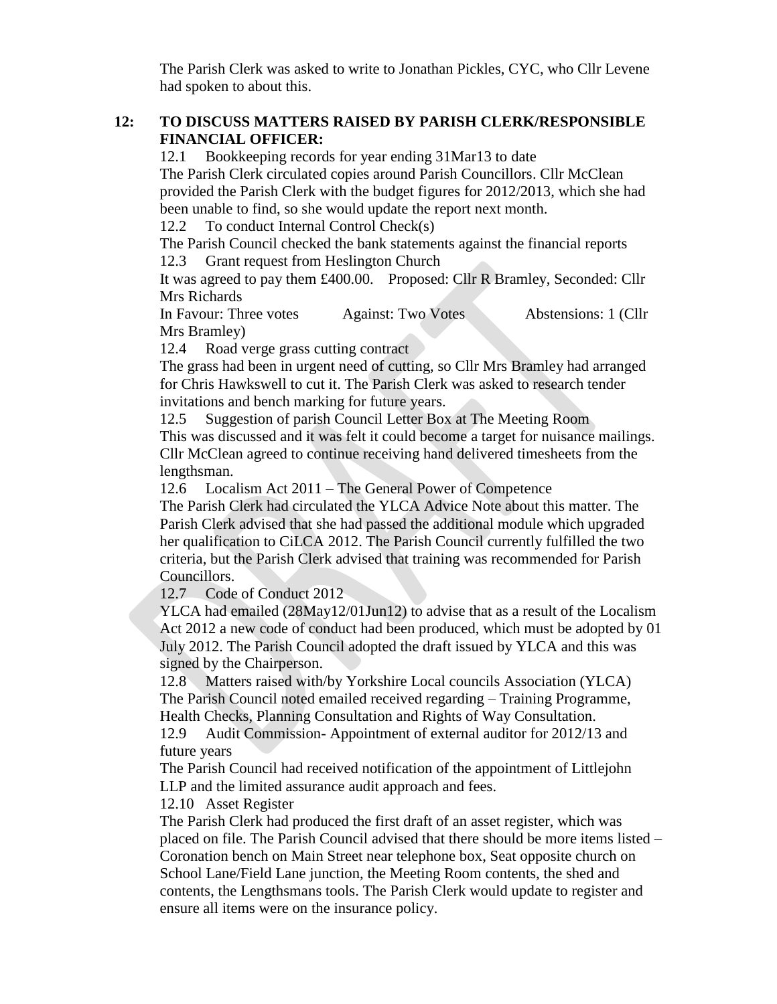The Parish Clerk was asked to write to Jonathan Pickles, CYC, who Cllr Levene had spoken to about this.

### **12: TO DISCUSS MATTERS RAISED BY PARISH CLERK/RESPONSIBLE FINANCIAL OFFICER:**

12.1 Bookkeeping records for year ending 31Mar13 to date

The Parish Clerk circulated copies around Parish Councillors. Cllr McClean provided the Parish Clerk with the budget figures for 2012/2013, which she had been unable to find, so she would update the report next month.

12.2 To conduct Internal Control Check(s)

The Parish Council checked the bank statements against the financial reports 12.3 Grant request from Heslington Church

It was agreed to pay them £400.00. Proposed: Cllr R Bramley, Seconded: Cllr Mrs Richards

In Favour: Three votes Against: Two Votes Abstensions: 1 (Cllr Mrs Bramley)

12.4 Road verge grass cutting contract

The grass had been in urgent need of cutting, so Cllr Mrs Bramley had arranged for Chris Hawkswell to cut it. The Parish Clerk was asked to research tender invitations and bench marking for future years.

12.5 Suggestion of parish Council Letter Box at The Meeting Room This was discussed and it was felt it could become a target for nuisance mailings. Cllr McClean agreed to continue receiving hand delivered timesheets from the lengthsman.

12.6 Localism Act 2011 – The General Power of Competence

The Parish Clerk had circulated the YLCA Advice Note about this matter. The Parish Clerk advised that she had passed the additional module which upgraded her qualification to CiLCA 2012. The Parish Council currently fulfilled the two criteria, but the Parish Clerk advised that training was recommended for Parish Councillors.

12.7 Code of Conduct 2012

YLCA had emailed (28May12/01Jun12) to advise that as a result of the Localism Act 2012 a new code of conduct had been produced, which must be adopted by 01 July 2012. The Parish Council adopted the draft issued by YLCA and this was signed by the Chairperson.

12.8 Matters raised with/by Yorkshire Local councils Association (YLCA) The Parish Council noted emailed received regarding – Training Programme, Health Checks, Planning Consultation and Rights of Way Consultation.

12.9 Audit Commission- Appointment of external auditor for 2012/13 and future years

The Parish Council had received notification of the appointment of Littlejohn LLP and the limited assurance audit approach and fees.

12.10 Asset Register

The Parish Clerk had produced the first draft of an asset register, which was placed on file. The Parish Council advised that there should be more items listed – Coronation bench on Main Street near telephone box, Seat opposite church on School Lane/Field Lane junction, the Meeting Room contents, the shed and contents, the Lengthsmans tools. The Parish Clerk would update to register and ensure all items were on the insurance policy.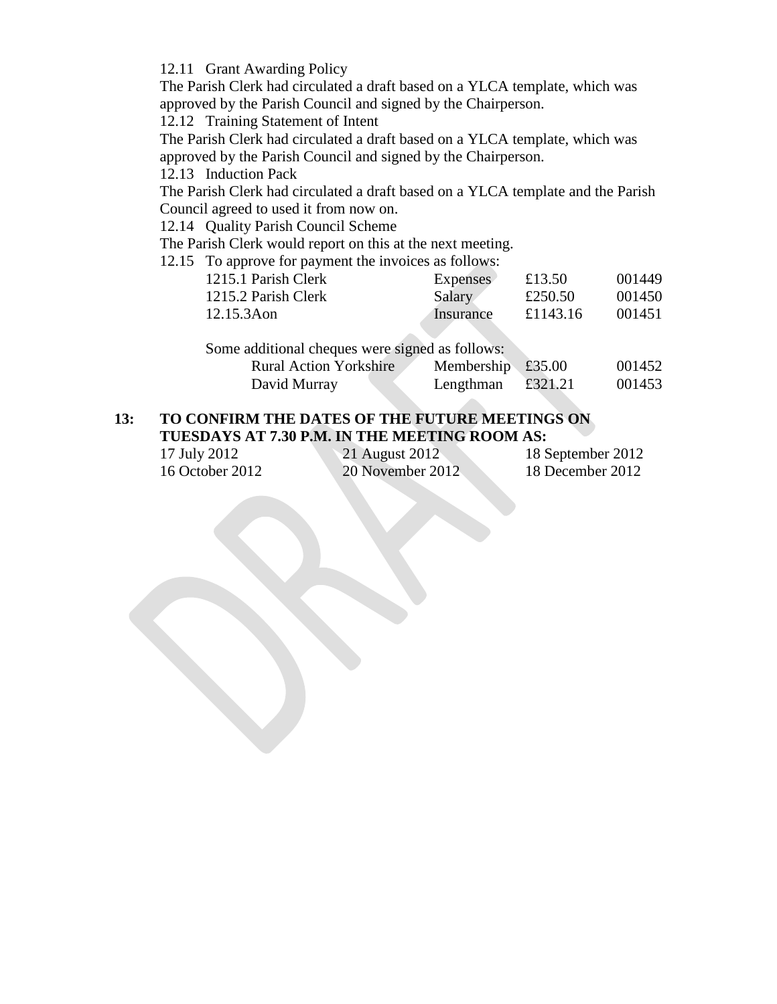12.11 Grant Awarding Policy

The Parish Clerk had circulated a draft based on a YLCA template, which was approved by the Parish Council and signed by the Chairperson.

12.12 Training Statement of Intent

The Parish Clerk had circulated a draft based on a YLCA template, which was approved by the Parish Council and signed by the Chairperson.

12.13 Induction Pack

The Parish Clerk had circulated a draft based on a YLCA template and the Parish Council agreed to used it from now on.

12.14 Quality Parish Council Scheme

The Parish Clerk would report on this at the next meeting.

12.15 To approve for payment the invoices as follows:

| 1215.1 Parish Clerk | Expenses  | £13.50   | 001449 |
|---------------------|-----------|----------|--------|
| 1215.2 Parish Clerk | Salary    | £250.50  | 001450 |
| 12.15.3Aon          | Insurance | £1143.16 | 001451 |

Some additional cheques were signed as follows:

| <b>Rural Action Yorkshire</b> | Membership $£35.00$ |         | 001452 |
|-------------------------------|---------------------|---------|--------|
| David Murray                  | Lengthman           | £321.21 | 001453 |

# **13: TO CONFIRM THE DATES OF THE FUTURE MEETINGS ON TUESDAYS AT 7.30 P.M. IN THE MEETING ROOM AS:**

| 17 July 2012    | 21 August 2012   | 18 September 2012 |
|-----------------|------------------|-------------------|
| 16 October 2012 | 20 November 2012 | 18 December 2012  |